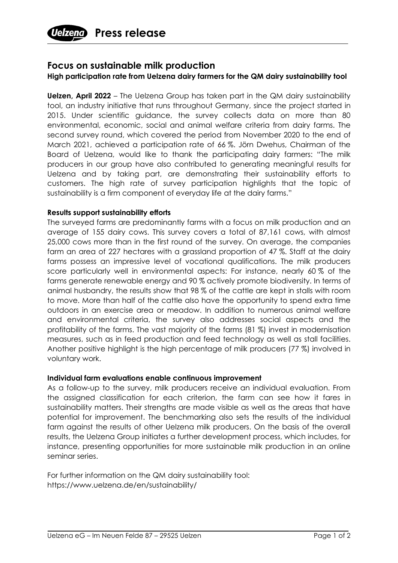

## **Focus on sustainable milk production**

## **High participation rate from Uelzena dairy farmers for the QM dairy sustainability tool**

**Uelzen, April 2022** – The Uelzena Group has taken part in the QM dairy sustainability tool, an industry initiative that runs throughout Germany, since the project started in 2015. Under scientific guidance, the survey collects data on more than 80 environmental, economic, social and animal welfare criteria from dairy farms. The second survey round, which covered the period from November 2020 to the end of March 2021, achieved a participation rate of 66 %. Jörn Dwehus, Chairman of the Board of Uelzena, would like to thank the participating dairy farmers: "The milk producers in our group have also contributed to generating meaningful results for Uelzena and by taking part, are demonstrating their sustainability efforts to customers. The high rate of survey participation highlights that the topic of sustainability is a firm component of everyday life at the dairy farms."

## **Results support sustainability efforts**

The surveyed farms are predominantly farms with a focus on milk production and an average of 155 dairy cows. This survey covers a total of 87,161 cows, with almost 25,000 cows more than in the first round of the survey. On average, the companies farm an area of 227 hectares with a grassland proportion of 47 %. Staff at the dairy farms possess an impressive level of vocational qualifications. The milk producers score particularly well in environmental aspects: For instance, nearly 60 % of the farms generate renewable energy and 90 % actively promote biodiversity. In terms of animal husbandry, the results show that 98 % of the cattle are kept in stalls with room to move. More than half of the cattle also have the opportunity to spend extra time outdoors in an exercise area or meadow. In addition to numerous animal welfare and environmental criteria, the survey also addresses social aspects and the profitability of the farms. The vast majority of the farms (81 %) invest in modernisation measures, such as in feed production and feed technology as well as stall facilities. Another positive highlight is the high percentage of milk producers (77 %) involved in voluntary work.

## **Individual farm evaluations enable continuous improvement**

As a follow-up to the survey, milk producers receive an individual evaluation. From the assigned classification for each criterion, the farm can see how it fares in sustainability matters. Their strengths are made visible as well as the areas that have potential for improvement. The benchmarking also sets the results of the individual farm against the results of other Uelzena milk producers. On the basis of the overall results, the Uelzena Group initiates a further development process, which includes, for instance, presenting opportunities for more sustainable milk production in an online seminar series.

For further information on the QM dairy sustainability tool: https://www.uelzena.de/en/sustainability/